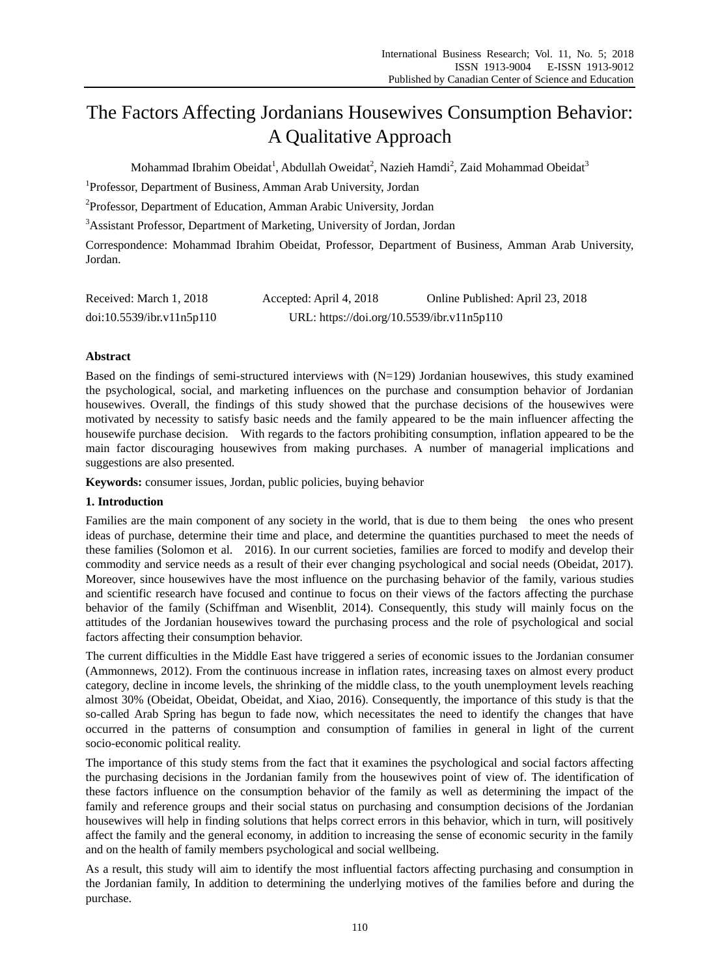# The Factors Affecting Jordanians Housewives Consumption Behavior: A Qualitative Approach

Mohammad Ibrahim Obeidat $^1$ , Abdullah Oweidat $^2$ , Nazieh Hamdi $^2$ , Zaid Mohammad Obeidat $^3$ 

<sup>1</sup>Professor, Department of Business, Amman Arab University, Jordan

<sup>2</sup>Professor, Department of Education, Amman Arabic University, Jordan

<sup>3</sup>Assistant Professor, Department of Marketing, University of Jordan, Jordan

Correspondence: Mohammad Ibrahim Obeidat, Professor, Department of Business, Amman Arab University, Jordan.

| Received: March 1, 2018   | Accepted: April 4, 2018                    | Online Published: April 23, 2018 |
|---------------------------|--------------------------------------------|----------------------------------|
| doi:10.5539/ibr.v11n5p110 | URL: https://doi.org/10.5539/ibr.v11n5p110 |                                  |

# **Abstract**

Based on the findings of semi-structured interviews with (N=129) Jordanian housewives, this study examined the psychological, social, and marketing influences on the purchase and consumption behavior of Jordanian housewives. Overall, the findings of this study showed that the purchase decisions of the housewives were motivated by necessity to satisfy basic needs and the family appeared to be the main influencer affecting the housewife purchase decision. With regards to the factors prohibiting consumption, inflation appeared to be the main factor discouraging housewives from making purchases. A number of managerial implications and suggestions are also presented.

**Keywords:** consumer issues, Jordan, public policies, buying behavior

# **1. Introduction**

Families are the main component of any society in the world, that is due to them being the ones who present ideas of purchase, determine their time and place, and determine the quantities purchased to meet the needs of these families (Solomon et al. 2016). In our current societies, families are forced to modify and develop their commodity and service needs as a result of their ever changing psychological and social needs (Obeidat, 2017). Moreover, since housewives have the most influence on the purchasing behavior of the family, various studies and scientific research have focused and continue to focus on their views of the factors affecting the purchase behavior of the family (Schiffman and Wisenblit, 2014). Consequently, this study will mainly focus on the attitudes of the Jordanian housewives toward the purchasing process and the role of psychological and social factors affecting their consumption behavior.

The current difficulties in the Middle East have triggered a series of economic issues to the Jordanian consumer (Ammonnews, 2012). From the continuous increase in inflation rates, increasing taxes on almost every product category, decline in income levels, the shrinking of the middle class, to the youth unemployment levels reaching almost 30% (Obeidat, Obeidat, Obeidat, and Xiao, 2016). Consequently, the importance of this study is that the so-called Arab Spring has begun to fade now, which necessitates the need to identify the changes that have occurred in the patterns of consumption and consumption of families in general in light of the current socio-economic political reality.

The importance of this study stems from the fact that it examines the psychological and social factors affecting the purchasing decisions in the Jordanian family from the housewives point of view of. The identification of these factors influence on the consumption behavior of the family as well as determining the impact of the family and reference groups and their social status on purchasing and consumption decisions of the Jordanian housewives will help in finding solutions that helps correct errors in this behavior, which in turn, will positively affect the family and the general economy, in addition to increasing the sense of economic security in the family and on the health of family members psychological and social wellbeing.

As a result, this study will aim to identify the most influential factors affecting purchasing and consumption in the Jordanian family, In addition to determining the underlying motives of the families before and during the purchase.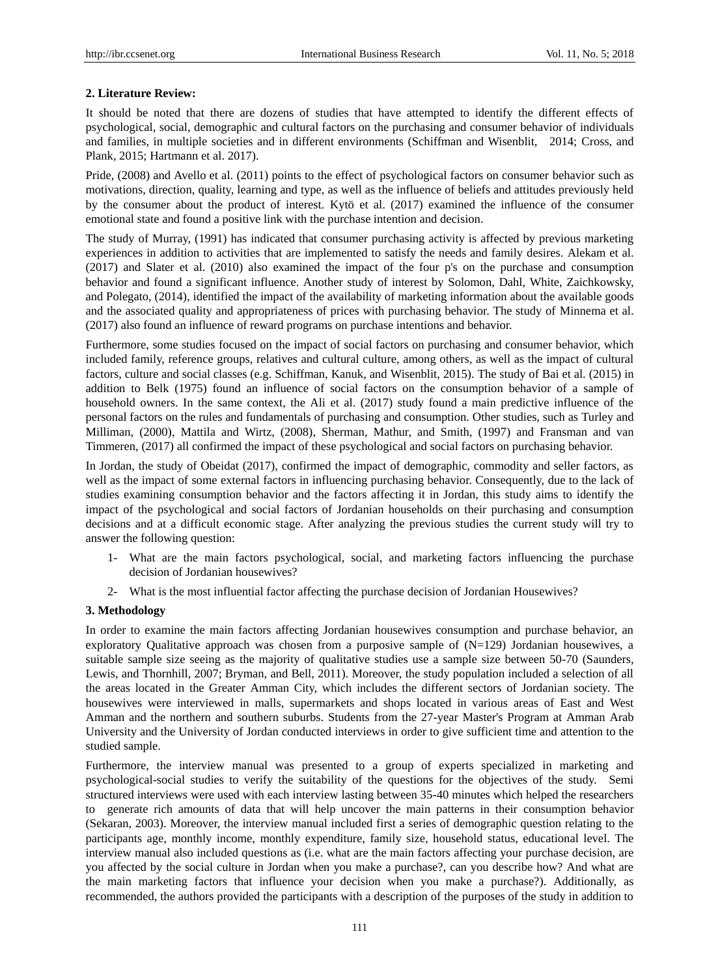## **2. Literature Review:**

It should be noted that there are dozens of studies that have attempted to identify the different effects of psychological, social, demographic and cultural factors on the purchasing and consumer behavior of individuals and families, in multiple societies and in different environments (Schiffman and Wisenblit, 2014; Cross, and Plank, 2015; Hartmann et al. 2017).

Pride, (2008) and Avello et al. (2011) points to the effect of psychological factors on consumer behavior such as motivations, direction, quality, learning and type, as well as the influence of beliefs and attitudes previously held by the consumer about the product of interest. Kytö et al. (2017) examined the influence of the consumer emotional state and found a positive link with the purchase intention and decision.

The study of Murray, (1991) has indicated that consumer purchasing activity is affected by previous marketing experiences in addition to activities that are implemented to satisfy the needs and family desires. Alekam et al. (2017) and Slater et al. (2010) also examined the impact of the four p's on the purchase and consumption behavior and found a significant influence. Another study of interest by Solomon, Dahl, White, Zaichkowsky, and Polegato, (2014), identified the impact of the availability of marketing information about the available goods and the associated quality and appropriateness of prices with purchasing behavior. The study of Minnema et al. (2017) also found an influence of reward programs on purchase intentions and behavior.

Furthermore, some studies focused on the impact of social factors on purchasing and consumer behavior, which included family, reference groups, relatives and cultural culture, among others, as well as the impact of cultural factors, culture and social classes (e.g. Schiffman, Kanuk, and Wisenblit, 2015). The study of Bai et al. (2015) in addition to Belk (1975) found an influence of social factors on the consumption behavior of a sample of household owners. In the same context, the Ali et al. (2017) study found a main predictive influence of the personal factors on the rules and fundamentals of purchasing and consumption. Other studies, such as Turley and Milliman, (2000), Mattila and Wirtz, (2008), Sherman, Mathur, and Smith, (1997) and Fransman and van Timmeren, (2017) all confirmed the impact of these psychological and social factors on purchasing behavior.

In Jordan, the study of Obeidat (2017), confirmed the impact of demographic, commodity and seller factors, as well as the impact of some external factors in influencing purchasing behavior. Consequently, due to the lack of studies examining consumption behavior and the factors affecting it in Jordan, this study aims to identify the impact of the psychological and social factors of Jordanian households on their purchasing and consumption decisions and at a difficult economic stage. After analyzing the previous studies the current study will try to answer the following question:

- 1- What are the main factors psychological, social, and marketing factors influencing the purchase decision of Jordanian housewives?
- 2- What is the most influential factor affecting the purchase decision of Jordanian Housewives?

#### **3. Methodology**

In order to examine the main factors affecting Jordanian housewives consumption and purchase behavior, an exploratory Qualitative approach was chosen from a purposive sample of  $(N=129)$  Jordanian housewives, a suitable sample size seeing as the majority of qualitative studies use a sample size between 50-70 (Saunders, Lewis, and Thornhill, 2007; Bryman, and Bell, 2011). Moreover, the study population included a selection of all the areas located in the Greater Amman City, which includes the different sectors of Jordanian society. The housewives were interviewed in malls, supermarkets and shops located in various areas of East and West Amman and the northern and southern suburbs. Students from the 27-year Master's Program at Amman Arab University and the University of Jordan conducted interviews in order to give sufficient time and attention to the studied sample.

Furthermore, the interview manual was presented to a group of experts specialized in marketing and psychological-social studies to verify the suitability of the questions for the objectives of the study. Semi structured interviews were used with each interview lasting between 35-40 minutes which helped the researchers to generate rich amounts of data that will help uncover the main patterns in their consumption behavior (Sekaran, 2003). Moreover, the interview manual included first a series of demographic question relating to the participants age, monthly income, monthly expenditure, family size, household status, educational level. The interview manual also included questions as (i.e. what are the main factors affecting your purchase decision, are you affected by the social culture in Jordan when you make a purchase?, can you describe how? And what are the main marketing factors that influence your decision when you make a purchase?). Additionally, as recommended, the authors provided the participants with a description of the purposes of the study in addition to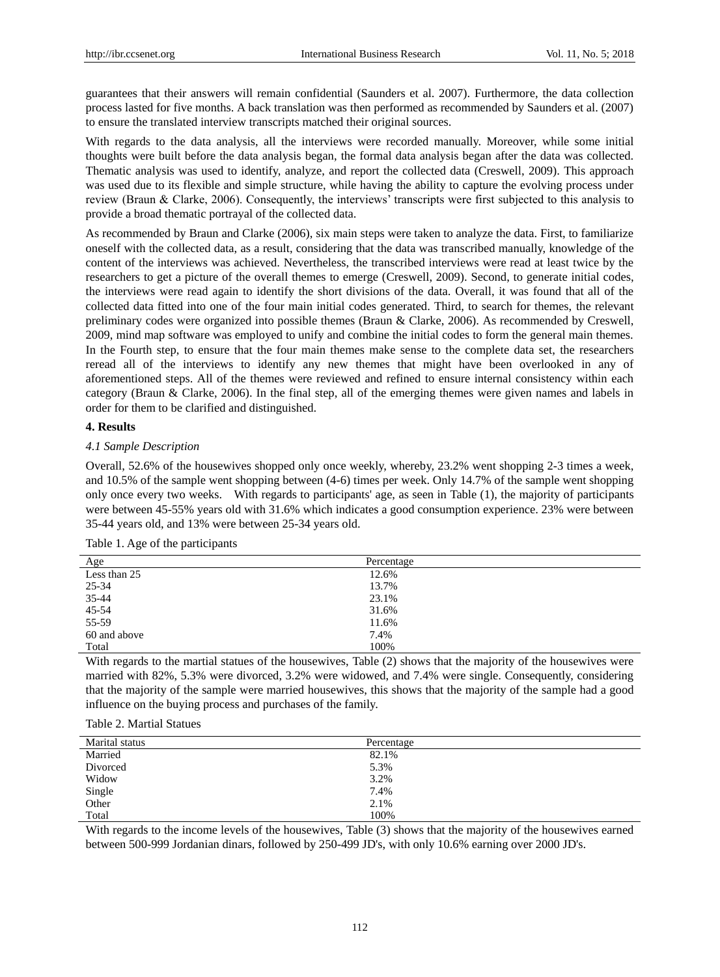guarantees that their answers will remain confidential (Saunders et al. 2007). Furthermore, the data collection process lasted for five months. A back translation was then performed as recommended by Saunders et al. (2007) to ensure the translated interview transcripts matched their original sources.

With regards to the data analysis, all the interviews were recorded manually. Moreover, while some initial thoughts were built before the data analysis began, the formal data analysis began after the data was collected. Thematic analysis was used to identify, analyze, and report the collected data (Creswell, 2009). This approach was used due to its flexible and simple structure, while having the ability to capture the evolving process under review (Braun & Clarke, 2006). Consequently, the interviews' transcripts were first subjected to this analysis to provide a broad thematic portrayal of the collected data.

As recommended by Braun and Clarke (2006), six main steps were taken to analyze the data. First, to familiarize oneself with the collected data, as a result, considering that the data was transcribed manually, knowledge of the content of the interviews was achieved. Nevertheless, the transcribed interviews were read at least twice by the researchers to get a picture of the overall themes to emerge (Creswell, 2009). Second, to generate initial codes, the interviews were read again to identify the short divisions of the data. Overall, it was found that all of the collected data fitted into one of the four main initial codes generated. Third, to search for themes, the relevant preliminary codes were organized into possible themes (Braun & Clarke, 2006). As recommended by Creswell, 2009, mind map software was employed to unify and combine the initial codes to form the general main themes. In the Fourth step, to ensure that the four main themes make sense to the complete data set, the researchers reread all of the interviews to identify any new themes that might have been overlooked in any of aforementioned steps. All of the themes were reviewed and refined to ensure internal consistency within each category (Braun & Clarke, 2006). In the final step, all of the emerging themes were given names and labels in order for them to be clarified and distinguished.

## **4. Results**

#### *4.1 Sample Description*

Overall, 52.6% of the housewives shopped only once weekly, whereby, 23.2% went shopping 2-3 times a week, and 10.5% of the sample went shopping between (4-6) times per week. Only 14.7% of the sample went shopping only once every two weeks. With regards to participants' age, as seen in Table (1), the majority of participants were between 45-55% years old with 31.6% which indicates a good consumption experience. 23% were between 35-44 years old, and 13% were between 25-34 years old.

| Age          | Percentage |
|--------------|------------|
| Less than 25 | 12.6%      |
| 25-34        | 13.7%      |
| 35-44        | 23.1%      |
| 45-54        | 31.6%      |
| 55-59        | 11.6%      |
| 60 and above | 7.4%       |
| Total        | 100%       |

Table 1. Age of the participants

With regards to the martial statues of the housewives, Table (2) shows that the majority of the housewives were married with 82%, 5.3% were divorced, 3.2% were widowed, and 7.4% were single. Consequently, considering that the majority of the sample were married housewives, this shows that the majority of the sample had a good influence on the buying process and purchases of the family.

|  |  |  | Table 2. Martial Statues |
|--|--|--|--------------------------|
|--|--|--|--------------------------|

| Marital status  | Percentage |
|-----------------|------------|
| Married         | 82.1%      |
| Divorced        | 5.3%       |
| Widow           | 3.2%       |
| Single<br>Other | 7.4%       |
|                 | 2.1%       |
| Total           | 100%       |

With regards to the income levels of the housewives, Table (3) shows that the majority of the housewives earned between 500-999 Jordanian dinars, followed by 250-499 JD's, with only 10.6% earning over 2000 JD's.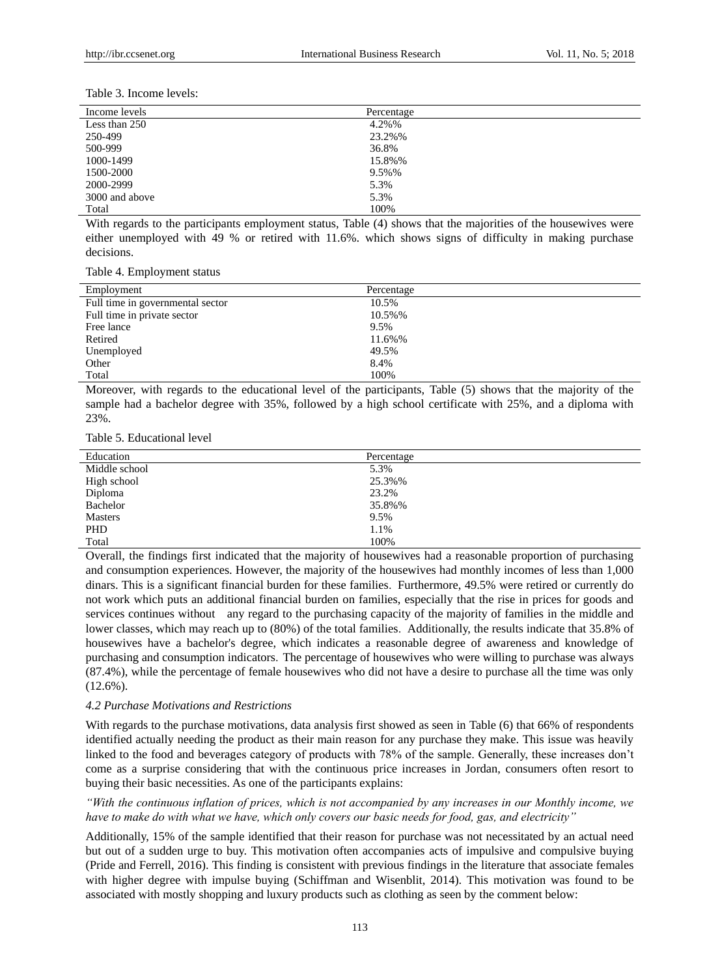| Income levels  | Percentage |
|----------------|------------|
| Less than 250  | 4.2%%      |
| 250-499        | 23.2%%     |
| 500-999        | 36.8%      |
| 1000-1499      | 15.8%%     |
| 1500-2000      | 9.5%%      |
| 2000-2999      | 5.3%       |
| 3000 and above | 5.3%       |
| Total          | 100%       |

With regards to the participants employment status, Table (4) shows that the majorities of the housewives were either unemployed with 49 % or retired with 11.6%. which shows signs of difficulty in making purchase decisions.

Table 4. Employment status

| Employment                       | Percentage |
|----------------------------------|------------|
| Full time in governmental sector | 10.5%      |
| Full time in private sector      | 10.5%%     |
| Free lance                       | 9.5%       |
| Retired                          | 11.6%%     |
| Unemployed                       | 49.5%      |
| Other                            | 8.4%       |
| Total                            | 100%       |

Moreover, with regards to the educational level of the participants, Table (5) shows that the majority of the sample had a bachelor degree with 35%, followed by a high school certificate with 25%, and a diploma with 23%.

Table 5. Educational level

| Education      | Percentage |
|----------------|------------|
| Middle school  | 5.3%       |
| High school    | 25.3%%     |
| Diploma        | 23.2%      |
| Bachelor       | 35.8%%     |
| <b>Masters</b> | 9.5%       |
| PHD            | 1.1%       |
| Total          | 100%       |
|                |            |

Overall, the findings first indicated that the majority of housewives had a reasonable proportion of purchasing and consumption experiences. However, the majority of the housewives had monthly incomes of less than 1,000 dinars. This is a significant financial burden for these families. Furthermore, 49.5% were retired or currently do not work which puts an additional financial burden on families, especially that the rise in prices for goods and services continues without any regard to the purchasing capacity of the majority of families in the middle and lower classes, which may reach up to (80%) of the total families. Additionally, the results indicate that 35.8% of housewives have a bachelor's degree, which indicates a reasonable degree of awareness and knowledge of purchasing and consumption indicators. The percentage of housewives who were willing to purchase was always (87.4%), while the percentage of female housewives who did not have a desire to purchase all the time was only (12.6%).

#### *4.2 Purchase Motivations and Restrictions*

With regards to the purchase motivations, data analysis first showed as seen in Table (6) that 66% of respondents identified actually needing the product as their main reason for any purchase they make. This issue was heavily linked to the food and beverages category of products with 78% of the sample. Generally, these increases don't come as a surprise considering that with the continuous price increases in Jordan, consumers often resort to buying their basic necessities. As one of the participants explains:

# *"With the continuous inflation of prices, which is not accompanied by any increases in our Monthly income, we have to make do with what we have, which only covers our basic needs for food, gas, and electricity"*

Additionally, 15% of the sample identified that their reason for purchase was not necessitated by an actual need but out of a sudden urge to buy. This motivation often accompanies acts of impulsive and compulsive buying (Pride and Ferrell, 2016). This finding is consistent with previous findings in the literature that associate females with higher degree with impulse buying (Schiffman and Wisenblit, 2014). This motivation was found to be associated with mostly shopping and luxury products such as clothing as seen by the comment below: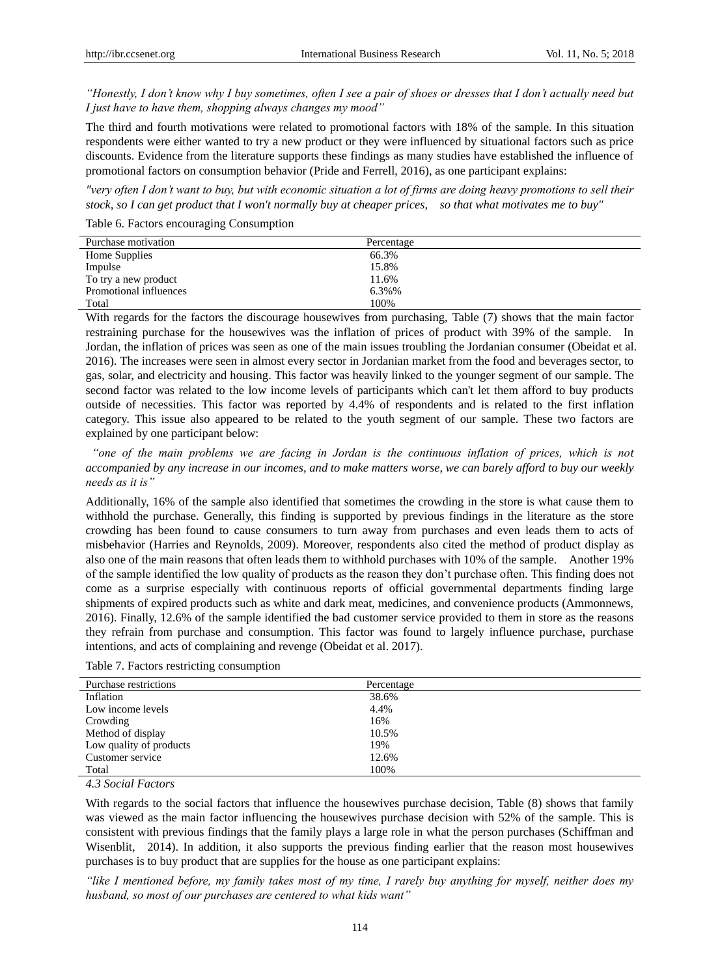*"Honestly, I don't know why I buy sometimes, often I see a pair of shoes or dresses that I don't actually need but I just have to have them, shopping always changes my mood"*

The third and fourth motivations were related to promotional factors with 18% of the sample. In this situation respondents were either wanted to try a new product or they were influenced by situational factors such as price discounts. Evidence from the literature supports these findings as many studies have established the influence of promotional factors on consumption behavior (Pride and Ferrell, 2016), as one participant explains:

*"very often I don't want to buy, but with economic situation a lot of firms are doing heavy promotions to sell their stock, so I can get product that I won't normally buy at cheaper prices, so that what motivates me to buy"*

Table 6. Factors encouraging Consumption

| Purchase motivation    | Percentage |
|------------------------|------------|
| Home Supplies          | 66.3%      |
| Impulse                | 15.8%      |
| To try a new product   | 11.6%      |
| Promotional influences | 6.3%%      |
| Total                  | 100%       |

With regards for the factors the discourage housewives from purchasing, Table (7) shows that the main factor restraining purchase for the housewives was the inflation of prices of product with 39% of the sample. In Jordan, the inflation of prices was seen as one of the main issues troubling the Jordanian consumer (Obeidat et al. 2016). The increases were seen in almost every sector in Jordanian market from the food and beverages sector, to gas, solar, and electricity and housing. This factor was heavily linked to the younger segment of our sample. The second factor was related to the low income levels of participants which can't let them afford to buy products outside of necessities. This factor was reported by 4.4% of respondents and is related to the first inflation category. This issue also appeared to be related to the youth segment of our sample. These two factors are explained by one participant below:

*"one of the main problems we are facing in Jordan is the continuous inflation of prices, which is not accompanied by any increase in our incomes, and to make matters worse, we can barely afford to buy our weekly needs as it is"*

Additionally, 16% of the sample also identified that sometimes the crowding in the store is what cause them to withhold the purchase. Generally, this finding is supported by previous findings in the literature as the store crowding has been found to cause consumers to turn away from purchases and even leads them to acts of misbehavior (Harries and Reynolds, 2009). Moreover, respondents also cited the method of product display as also one of the main reasons that often leads them to withhold purchases with 10% of the sample. Another 19% of the sample identified the low quality of products as the reason they don't purchase often. This finding does not come as a surprise especially with continuous reports of official governmental departments finding large shipments of expired products such as white and dark meat, medicines, and convenience products (Ammonnews, 2016). Finally, 12.6% of the sample identified the bad customer service provided to them in store as the reasons they refrain from purchase and consumption. This factor was found to largely influence purchase, purchase intentions, and acts of complaining and revenge (Obeidat et al. 2017).

Table 7. Factors restricting consumption

| Purchase restrictions   | Percentage |
|-------------------------|------------|
| Inflation               | 38.6%      |
| Low income levels       | 4.4%       |
| Crowding                | 16%        |
| Method of display       | 10.5%      |
| Low quality of products | 19%        |
| Customer service        | 12.6%      |
| Total                   | 100%       |

*4.3 Social Factors*

With regards to the social factors that influence the housewives purchase decision, Table (8) shows that family was viewed as the main factor influencing the housewives purchase decision with 52% of the sample. This is consistent with previous findings that the family plays a large role in what the person purchases (Schiffman and Wisenblit, 2014). In addition, it also supports the previous finding earlier that the reason most housewives purchases is to buy product that are supplies for the house as one participant explains:

*"like I mentioned before, my family takes most of my time, I rarely buy anything for myself, neither does my husband, so most of our purchases are centered to what kids want"*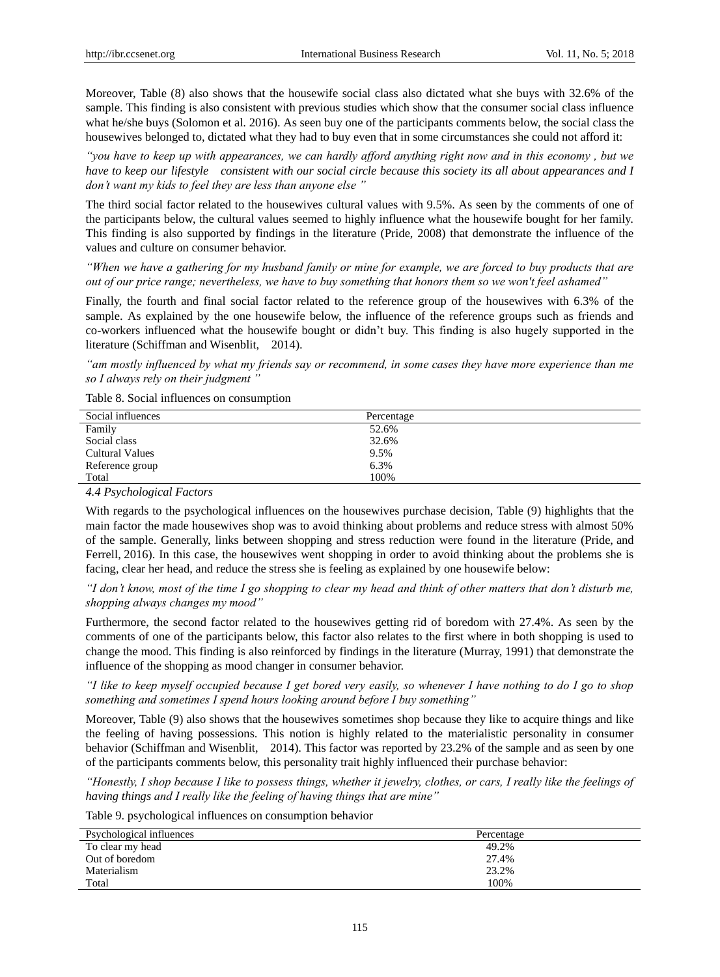Moreover, Table (8) also shows that the housewife social class also dictated what she buys with 32.6% of the sample. This finding is also consistent with previous studies which show that the consumer social class influence what he/she buys (Solomon et al. 2016). As seen buy one of the participants comments below, the social class the housewives belonged to, dictated what they had to buy even that in some circumstances she could not afford it:

*"you have to keep up with appearances, we can hardly afford anything right now and in this economy , but we have to keep our lifestyle consistent with our social circle because this society its all about appearances and I don't want my kids to feel they are less than anyone else "*

The third social factor related to the housewives cultural values with 9.5%. As seen by the comments of one of the participants below, the cultural values seemed to highly influence what the housewife bought for her family. This finding is also supported by findings in the literature (Pride, 2008) that demonstrate the influence of the values and culture on consumer behavior.

*"When we have a gathering for my husband family or mine for example, we are forced to buy products that are out of our price range; nevertheless, we have to buy something that honors them so we won't feel ashamed"*

Finally, the fourth and final social factor related to the reference group of the housewives with 6.3% of the sample. As explained by the one housewife below, the influence of the reference groups such as friends and co-workers influenced what the housewife bought or didn't buy. This finding is also hugely supported in the literature (Schiffman and Wisenblit, 2014).

*"am mostly influenced by what my friends say or recommend, in some cases they have more experience than me so I always rely on their judgment "*

| Table 8. Social influences on consumption |  |
|-------------------------------------------|--|
|-------------------------------------------|--|

| Social influences      | Percentage |
|------------------------|------------|
| Family                 | 52.6%      |
| Social class           | 32.6%      |
| <b>Cultural Values</b> | 9.5%       |
| Reference group        | 6.3%       |
| Total                  | 100%       |

*4.4 Psychological Factors*

With regards to the psychological influences on the housewives purchase decision, Table (9) highlights that the main factor the made housewives shop was to avoid thinking about problems and reduce stress with almost 50% of the sample. Generally, links between shopping and stress reduction were found in the literature (Pride, and Ferrell, 2016). In this case, the housewives went shopping in order to avoid thinking about the problems she is facing, clear her head, and reduce the stress she is feeling as explained by one housewife below:

*"I don't know, most of the time I go shopping to clear my head and think of other matters that don't disturb me, shopping always changes my mood"*

Furthermore, the second factor related to the housewives getting rid of boredom with 27.4%. As seen by the comments of one of the participants below, this factor also relates to the first where in both shopping is used to change the mood. This finding is also reinforced by findings in the literature (Murray, 1991) that demonstrate the influence of the shopping as mood changer in consumer behavior.

*"I like to keep myself occupied because I get bored very easily, so whenever I have nothing to do I go to shop something and sometimes I spend hours looking around before I buy something"*

Moreover, Table (9) also shows that the housewives sometimes shop because they like to acquire things and like the feeling of having possessions. This notion is highly related to the materialistic personality in consumer behavior (Schiffman and Wisenblit, 2014). This factor was reported by 23.2% of the sample and as seen by one of the participants comments below, this personality trait highly influenced their purchase behavior:

*"Honestly, I shop because I like to possess things, whether it jewelry, clothes, or cars, I really like the feelings of having things and I really like the feeling of having things that are mine"*

Table 9. psychological influences on consumption behavior

| Psychological influences | Percentage |
|--------------------------|------------|
| To clear my head         | 49.2%      |
| Out of boredom           | 27.4%      |
| Materialism              | 23.2%      |
| Total                    | 100%       |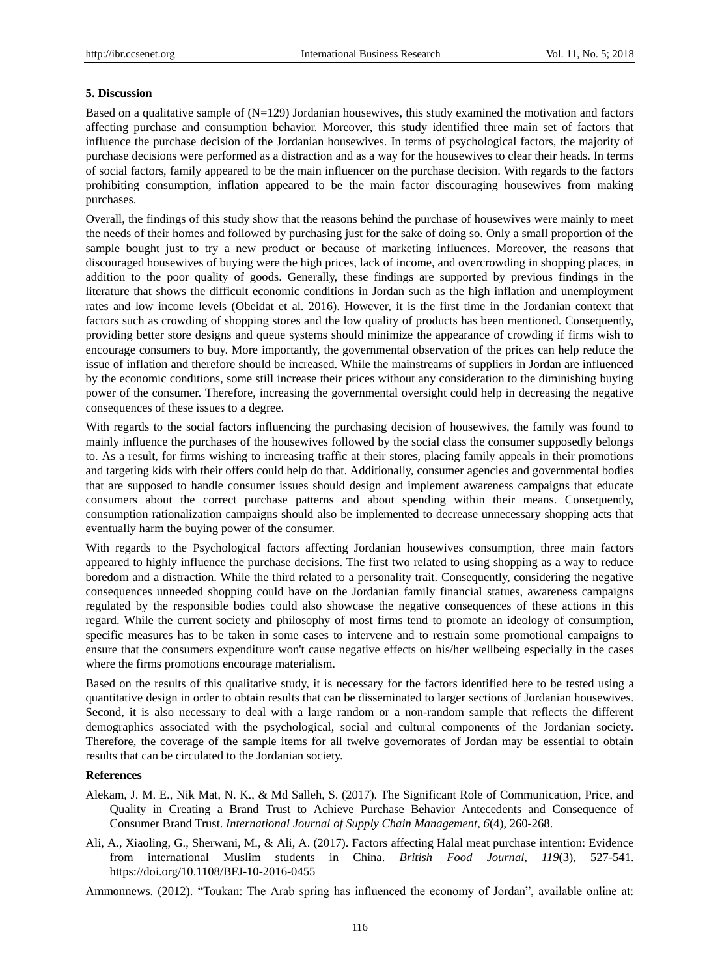## **5. Discussion**

Based on a qualitative sample of (N=129) Jordanian housewives, this study examined the motivation and factors affecting purchase and consumption behavior. Moreover, this study identified three main set of factors that influence the purchase decision of the Jordanian housewives. In terms of psychological factors, the majority of purchase decisions were performed as a distraction and as a way for the housewives to clear their heads. In terms of social factors, family appeared to be the main influencer on the purchase decision. With regards to the factors prohibiting consumption, inflation appeared to be the main factor discouraging housewives from making purchases.

Overall, the findings of this study show that the reasons behind the purchase of housewives were mainly to meet the needs of their homes and followed by purchasing just for the sake of doing so. Only a small proportion of the sample bought just to try a new product or because of marketing influences. Moreover, the reasons that discouraged housewives of buying were the high prices, lack of income, and overcrowding in shopping places, in addition to the poor quality of goods. Generally, these findings are supported by previous findings in the literature that shows the difficult economic conditions in Jordan such as the high inflation and unemployment rates and low income levels (Obeidat et al. 2016). However, it is the first time in the Jordanian context that factors such as crowding of shopping stores and the low quality of products has been mentioned. Consequently, providing better store designs and queue systems should minimize the appearance of crowding if firms wish to encourage consumers to buy. More importantly, the governmental observation of the prices can help reduce the issue of inflation and therefore should be increased. While the mainstreams of suppliers in Jordan are influenced by the economic conditions, some still increase their prices without any consideration to the diminishing buying power of the consumer. Therefore, increasing the governmental oversight could help in decreasing the negative consequences of these issues to a degree.

With regards to the social factors influencing the purchasing decision of housewives, the family was found to mainly influence the purchases of the housewives followed by the social class the consumer supposedly belongs to. As a result, for firms wishing to increasing traffic at their stores, placing family appeals in their promotions and targeting kids with their offers could help do that. Additionally, consumer agencies and governmental bodies that are supposed to handle consumer issues should design and implement awareness campaigns that educate consumers about the correct purchase patterns and about spending within their means. Consequently, consumption rationalization campaigns should also be implemented to decrease unnecessary shopping acts that eventually harm the buying power of the consumer.

With regards to the Psychological factors affecting Jordanian housewives consumption, three main factors appeared to highly influence the purchase decisions. The first two related to using shopping as a way to reduce boredom and a distraction. While the third related to a personality trait. Consequently, considering the negative consequences unneeded shopping could have on the Jordanian family financial statues, awareness campaigns regulated by the responsible bodies could also showcase the negative consequences of these actions in this regard. While the current society and philosophy of most firms tend to promote an ideology of consumption, specific measures has to be taken in some cases to intervene and to restrain some promotional campaigns to ensure that the consumers expenditure won't cause negative effects on his/her wellbeing especially in the cases where the firms promotions encourage materialism.

Based on the results of this qualitative study, it is necessary for the factors identified here to be tested using a quantitative design in order to obtain results that can be disseminated to larger sections of Jordanian housewives. Second, it is also necessary to deal with a large random or a non-random sample that reflects the different demographics associated with the psychological, social and cultural components of the Jordanian society. Therefore, the coverage of the sample items for all twelve governorates of Jordan may be essential to obtain results that can be circulated to the Jordanian society.

## **References**

- Alekam, J. M. E., Nik Mat, N. K., & Md Salleh, S. (2017). The Significant Role of Communication, Price, and Quality in Creating a Brand Trust to Achieve Purchase Behavior Antecedents and Consequence of Consumer Brand Trust. *International Journal of Supply Chain Management*, *6*(4), 260-268.
- Ali, A., Xiaoling, G., Sherwani, M., & Ali, A. (2017). Factors affecting Halal meat purchase intention: Evidence from international Muslim students in China. *British Food Journal*, *119*(3), 527-541. https://doi.org/10.1108/BFJ-10-2016-0455

Ammonnews. (2012). "Toukan: The Arab spring has influenced the economy of Jordan", available online at: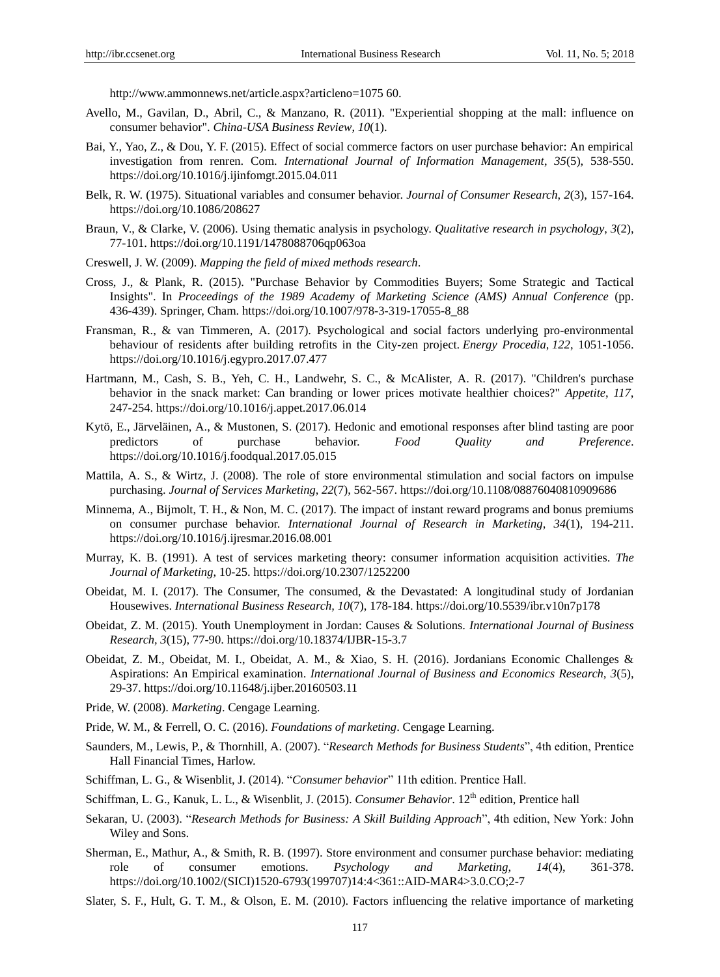http://www.ammonnews.net/article.aspx?articleno=1075 60.

- Avello, M., Gavilan, D., Abril, C., & Manzano, R. (2011). "Experiential shopping at the mall: influence on consumer behavior". *China-USA Business Review*, *10*(1).
- Bai, Y., Yao, Z., & Dou, Y. F. (2015). Effect of social commerce factors on user purchase behavior: An empirical investigation from renren. Com. *International Journal of Information Management*, *35*(5), 538-550. https://doi.org/10.1016/j.ijinfomgt.2015.04.011
- Belk, R. W. (1975). Situational variables and consumer behavior. *Journal of Consumer Research*, *2*(3), 157-164. https://doi.org/10.1086/208627
- Braun, V., & Clarke, V. (2006). Using thematic analysis in psychology. *Qualitative research in psychology*, *3*(2), 77-101. https://doi.org/10.1191/1478088706qp063oa
- Creswell, J. W. (2009). *Mapping the field of mixed methods research*.
- Cross, J., & Plank, R. (2015). "Purchase Behavior by Commodities Buyers; Some Strategic and Tactical Insights". In *Proceedings of the 1989 Academy of Marketing Science (AMS) Annual Conference* (pp. 436-439). Springer, Cham. https://doi.org/10.1007/978-3-319-17055-8\_88
- Fransman, R., & van Timmeren, A. (2017). Psychological and social factors underlying pro-environmental behaviour of residents after building retrofits in the City-zen project. *Energy Procedia*, *122*, 1051-1056. https://doi.org/10.1016/j.egypro.2017.07.477
- Hartmann, M., Cash, S. B., Yeh, C. H., Landwehr, S. C., & McAlister, A. R. (2017). "Children's purchase behavior in the snack market: Can branding or lower prices motivate healthier choices?" *Appetite*, *117*, 247-254. https://doi.org/10.1016/j.appet.2017.06.014
- Kytö, E., Järveläinen, A., & Mustonen, S. (2017). Hedonic and emotional responses after blind tasting are poor predictors of purchase behavior. *Food Quality and Preference*. https://doi.org/10.1016/j.foodqual.2017.05.015
- Mattila, A. S., & Wirtz, J. (2008). The role of store environmental stimulation and social factors on impulse purchasing. *Journal of Services Marketing*, *22*(7), 562-567. https://doi.org/10.1108/08876040810909686
- Minnema, A., Bijmolt, T. H., & Non, M. C. (2017). The impact of instant reward programs and bonus premiums on consumer purchase behavior. *International Journal of Research in Marketing*, *34*(1), 194-211. https://doi.org/10.1016/j.ijresmar.2016.08.001
- Murray, K. B. (1991). A test of services marketing theory: consumer information acquisition activities. *The Journal of Marketing*, 10-25. https://doi.org/10.2307/1252200
- Obeidat, M. I. (2017). The Consumer, The consumed, & the Devastated: A longitudinal study of Jordanian Housewives. *International Business Research, 10*(7), 178-184.<https://doi.org/10.5539/ibr.v10n7p178>
- Obeidat, Z. M. (2015). Youth Unemployment in Jordan: Causes & Solutions. *International Journal of Business Research, 3*(15), 77-90. https://doi.org/10.18374/IJBR-15-3.7
- Obeidat, Z. M., Obeidat, M. I., Obeidat, A. M., & Xiao, S. H. (2016). Jordanians Economic Challenges & Aspirations: An Empirical examination. *International Journal of Business and Economics Research, 3*(5), 29-37. https://doi.org/10.11648/j.ijber.20160503.11
- Pride, W. (2008). *Marketing*. Cengage Learning.
- Pride, W. M., & Ferrell, O. C. (2016). *Foundations of marketing*. Cengage Learning.
- Saunders, M., Lewis, P., & Thornhill, A. (2007). "*Research Methods for Business Students*", 4th edition, Prentice Hall Financial Times, Harlow.
- Schiffman, L. G., & Wisenblit, J. (2014). "*Consumer behavior*" 11th edition. Prentice Hall.
- Schiffman, L. G., Kanuk, L. L., & Wisenblit, J. (2015). *Consumer Behavior*. 12<sup>th</sup> edition, Prentice hall
- Sekaran, U. (2003). "*Research Methods for Business: A Skill Building Approach*", 4th edition, New York: John Wiley and Sons.
- Sherman, E., Mathur, A., & Smith, R. B. (1997). Store environment and consumer purchase behavior: mediating role of consumer emotions. *Psychology and Marketing*, *14*(4), 361-378. https://doi.org/10.1002/(SICI)1520-6793(199707)14:4<361::AID-MAR4>3.0.CO;2-7
- Slater, S. F., Hult, G. T. M., & Olson, E. M. (2010). Factors influencing the relative importance of marketing